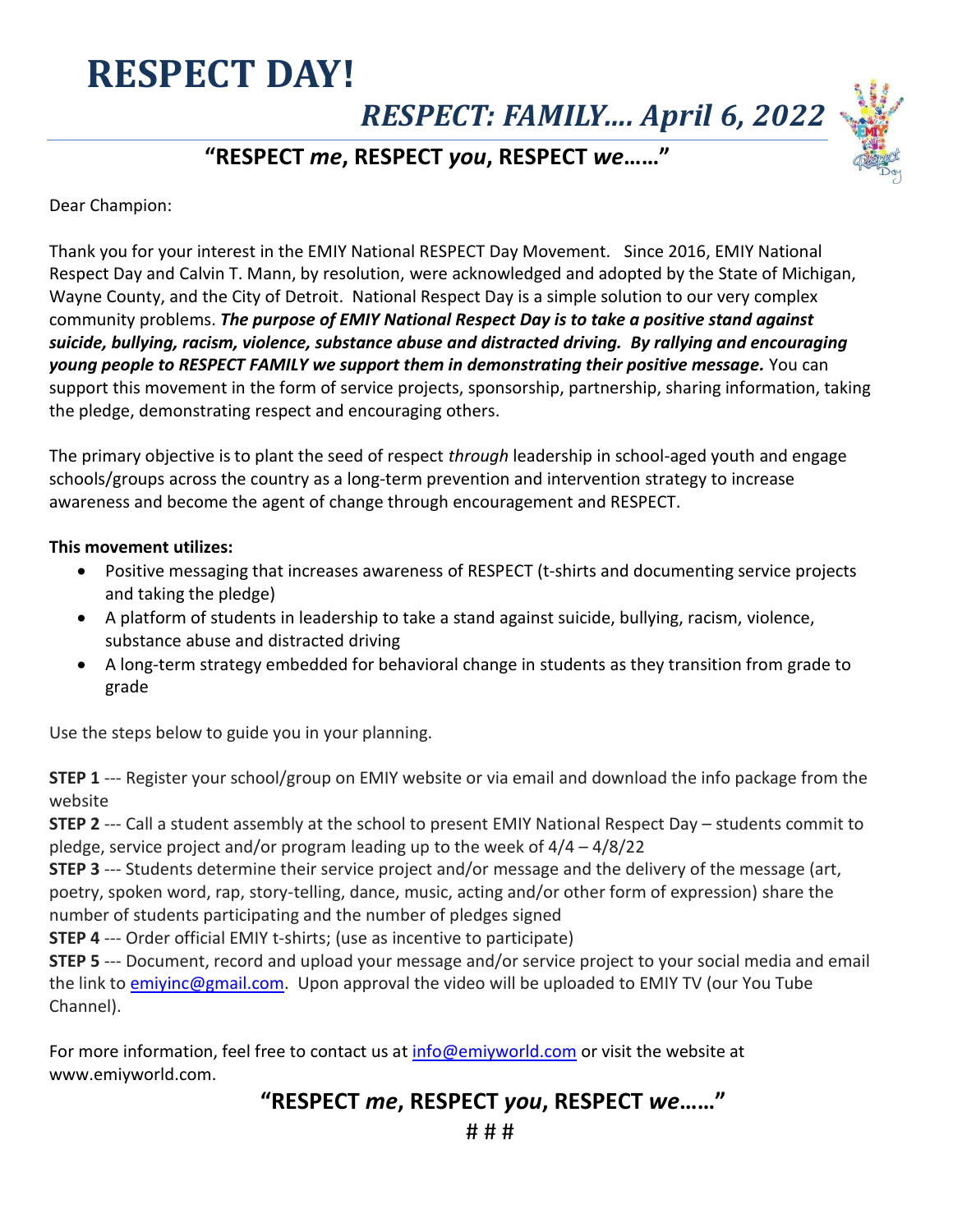## **RESPECT DAY!**

*RESPECT: FAMILY…. April 6, 2022*

#### **"RESPECT** *me***, RESPECT** *you***, RESPECT** *we***……"**

Dear Champion:

Thank you for your interest in the EMIY National RESPECT Day Movement. Since 2016, EMIY National Respect Day and Calvin T. Mann, by resolution, were acknowledged and adopted by the State of Michigan, Wayne County, and the City of Detroit. National Respect Day is a simple solution to our very complex community problems. *The purpose of EMIY National Respect Day is to take a positive stand against suicide, bullying, racism, violence, substance abuse and distracted driving. By rallying and encouraging young people to RESPECT FAMILY we support them in demonstrating their positive message.* You can support this movement in the form of service projects, sponsorship, partnership, sharing information, taking the pledge, demonstrating respect and encouraging others.

The primary objective is to plant the seed of respect *through* leadership in school-aged youth and engage schools/groups across the country as a long-term prevention and intervention strategy to increase awareness and become the agent of change through encouragement and RESPECT.

#### **This movement utilizes:**

- Positive messaging that increases awareness of RESPECT (t-shirts and documenting service projects and taking the pledge)
- A platform of students in leadership to take a stand against suicide, bullying, racism, violence, substance abuse and distracted driving
- A long-term strategy embedded for behavioral change in students as they transition from grade to grade

Use the steps below to guide you in your planning.

**STEP 1** --- Register your school/group on EMIY website or via email and download the info package from the website

**STEP 2** --- Call a student assembly at the school to present EMIY National Respect Day – students commit to pledge, service project and/or program leading up to the week of 4/4 – 4/8/22

**STEP 3** --- Students determine their service project and/or message and the delivery of the message (art, poetry, spoken word, rap, story-telling, dance, music, acting and/or other form of expression) share the number of students participating and the number of pledges signed

**STEP 4** --- Order official EMIY t-shirts; (use as incentive to participate)

**STEP 5** --- Document, record and upload your message and/or service project to your social media and email the link to emivinc@gmail.com. Upon approval the video will be uploaded to EMIY TV (our You Tube Channel).

For more information, feel free to contact us at [info@emiyworld.com](mailto:info@emiyworld.com) or visit the website at www.emiyworld.com.

#### **"RESPECT** *me***, RESPECT** *you***, RESPECT** *we***……"**

# # #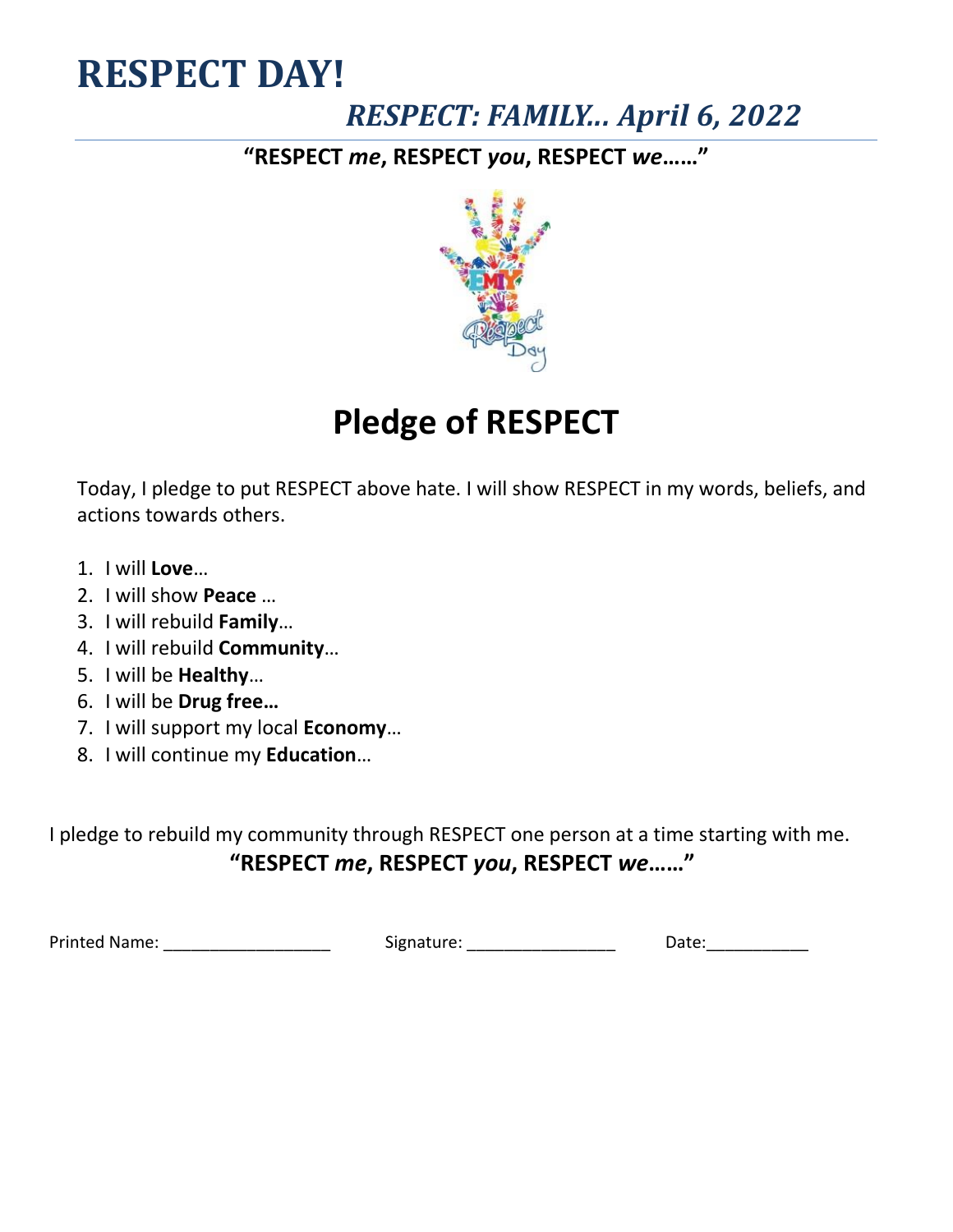# **RESPECT DAY!**

### *RESPECT: FAMILY... April 6, 2022*

**"RESPECT** *me***, RESPECT** *you***, RESPECT** *we***……"**



## **Pledge of RESPECT**

Today, I pledge to put RESPECT above hate. I will show RESPECT in my words, beliefs, and actions towards others.

- 1. I will **Love**…
- 2. I will show **Peace** …
- 3. I will rebuild **Family**…
- 4. I will rebuild **Community**…
- 5. I will be **Healthy**…
- 6. I will be **Drug free…**
- 7. I will support my local **Economy**…
- 8. I will continue my **Education**…

I pledge to rebuild my community through RESPECT one person at a time starting with me. **"RESPECT** *me***, RESPECT** *you***, RESPECT** *we***……"**

Printed Name: \_\_\_\_\_\_\_\_\_\_\_\_\_\_\_\_\_\_ Signature: \_\_\_\_\_\_\_\_\_\_\_\_\_\_\_\_ Date:\_\_\_\_\_\_\_\_\_\_\_